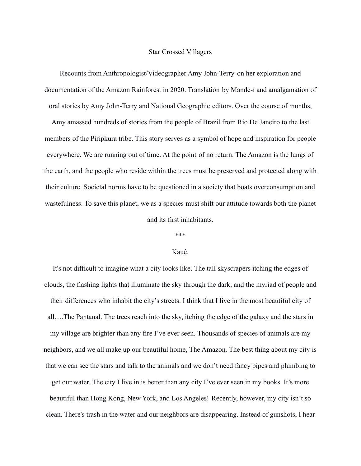## Star Crossed Villagers

Recounts from Anthropologist/Videographer Amy John-Terry on her exploration and documentation of the Amazon Rainforest in 2020. Translation by Mande-í and amalgamation of oral stories by Amy John-Terry and National Geographic editors. Over the course of months,

Amy amassed hundreds of stories from the people of Brazil from Rio De Janeiro to the last members of the Piripkura tribe. This story serves as a symbol of hope and inspiration for people everywhere. We are running out of time. At the point of no return. The Amazon is the lungs of the earth, and the people who reside within the trees must be preserved and protected along with their culture. Societal norms have to be questioned in a society that boats overconsumption and wastefulness. To save this planet, we as a species must shift our attitude towards both the planet and its first inhabitants.

\*\*\*

# Kauê.

It's not difficult to imagine what a city looks like. The tall skyscrapers itching the edges of clouds, the flashing lights that illuminate the sky through the dark, and the myriad of people and their differences who inhabit the city's streets. I think that I live in the most beautiful city of all….The Pantanal. The trees reach into the sky, itching the edge of the galaxy and the stars in my village are brighter than any fire I've ever seen. Thousands of species of animals are my neighbors, and we all make up our beautiful home, The Amazon. The best thing about my city is that we can see the stars and talk to the animals and we don't need fancy pipes and plumbing to get our water. The city I live in is better than any city I've ever seen in my books. It's more beautiful than Hong Kong, New York, and Los Angeles! Recently, however, my city isn't so clean. There's trash in the water and our neighbors are disappearing. Instead of gunshots, I hear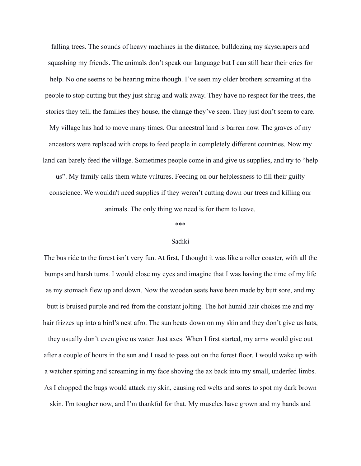falling trees. The sounds of heavy machines in the distance, bulldozing my skyscrapers and squashing my friends. The animals don't speak our language but I can still hear their cries for help. No one seems to be hearing mine though. I've seen my older brothers screaming at the people to stop cutting but they just shrug and walk away. They have no respect for the trees, the stories they tell, the families they house, the change they've seen. They just don't seem to care.

My village has had to move many times. Our ancestral land is barren now. The graves of my ancestors were replaced with crops to feed people in completely different countries. Now my land can barely feed the village. Sometimes people come in and give us supplies, and try to "help

us". My family calls them white vultures. Feeding on our helplessness to fill their guilty conscience. We wouldn't need supplies if they weren't cutting down our trees and killing our animals. The only thing we need is for them to leave.

\*\*\*

### Sadiki

The bus ride to the forest isn't very fun. At first, I thought it was like a roller coaster, with all the bumps and harsh turns. I would close my eyes and imagine that I was having the time of my life as my stomach flew up and down. Now the wooden seats have been made by butt sore, and my butt is bruised purple and red from the constant jolting. The hot humid hair chokes me and my hair frizzes up into a bird's nest afro. The sun beats down on my skin and they don't give us hats, they usually don't even give us water. Just axes. When I first started, my arms would give out after a couple of hours in the sun and I used to pass out on the forest floor. I would wake up with a watcher spitting and screaming in my face shoving the ax back into my small, underfed limbs. As I chopped the bugs would attack my skin, causing red welts and sores to spot my dark brown skin. I'm tougher now, and I'm thankful for that. My muscles have grown and my hands and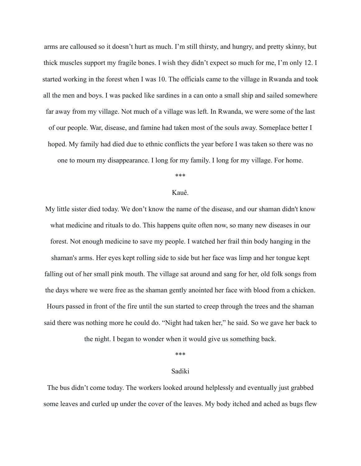arms are calloused so it doesn't hurt as much. I'm still thirsty, and hungry, and pretty skinny, but thick muscles support my fragile bones. I wish they didn't expect so much for me, I'm only 12. I started working in the forest when I was 10. The officials came to the village in Rwanda and took all the men and boys. I was packed like sardines in a can onto a small ship and sailed somewhere far away from my village. Not much of a village was left. In Rwanda, we were some of the last of our people. War, disease, and famine had taken most of the souls away. Someplace better I hoped. My family had died due to ethnic conflicts the year before I was taken so there was no one to mourn my disappearance. I long for my family. I long for my village. For home.

#### \*\*\*

### Kauê.

My little sister died today. We don't know the name of the disease, and our shaman didn't know what medicine and rituals to do. This happens quite often now, so many new diseases in our forest. Not enough medicine to save my people. I watched her frail thin body hanging in the shaman's arms. Her eyes kept rolling side to side but her face was limp and her tongue kept falling out of her small pink mouth. The village sat around and sang for her, old folk songs from the days where we were free as the shaman gently anointed her face with blood from a chicken. Hours passed in front of the fire until the sun started to creep through the trees and the shaman said there was nothing more he could do. "Night had taken her," he said. So we gave her back to

the night. I began to wonder when it would give us something back.

#### \*\*\*

### Sadiki

The bus didn't come today. The workers looked around helplessly and eventually just grabbed some leaves and curled up under the cover of the leaves. My body itched and ached as bugs flew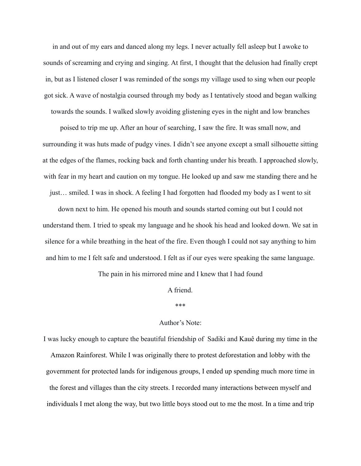in and out of my ears and danced along my legs. I never actually fell asleep but I awoke to sounds of screaming and crying and singing. At first, I thought that the delusion had finally crept in, but as I listened closer I was reminded of the songs my village used to sing when our people got sick. A wave of nostalgia coursed through my body as I tentatively stood and began walking towards the sounds. I walked slowly avoiding glistening eyes in the night and low branches

poised to trip me up. After an hour of searching, I saw the fire. It was small now, and surrounding it was huts made of pudgy vines. I didn't see anyone except a small silhouette sitting at the edges of the flames, rocking back and forth chanting under his breath. I approached slowly, with fear in my heart and caution on my tongue. He looked up and saw me standing there and he

just… smiled. I was in shock. A feeling I had forgotten had flooded my body as I went to sit

down next to him. He opened his mouth and sounds started coming out but I could not understand them. I tried to speak my language and he shook his head and looked down. We sat in silence for a while breathing in the heat of the fire. Even though I could not say anything to him and him to me I felt safe and understood. I felt as if our eyes were speaking the same language.

The pain in his mirrored mine and I knew that I had found

### A friend.

### \*\*\*

### Author's Note:

I was lucky enough to capture the beautiful friendship of Sadiki and Kauê during my time in the Amazon Rainforest. While I was originally there to protest deforestation and lobby with the government for protected lands for indigenous groups, I ended up spending much more time in the forest and villages than the city streets. I recorded many interactions between myself and individuals I met along the way, but two little boys stood out to me the most. In a time and trip